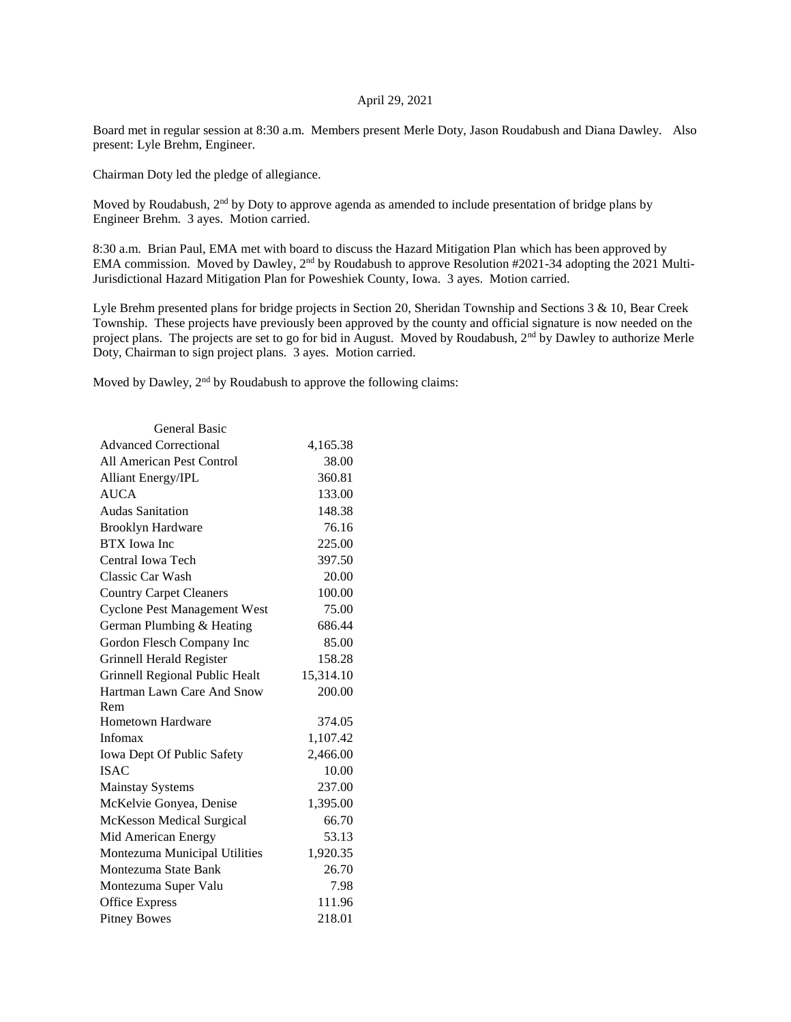## April 29, 2021

Board met in regular session at 8:30 a.m. Members present Merle Doty, Jason Roudabush and Diana Dawley. Also present: Lyle Brehm, Engineer.

Chairman Doty led the pledge of allegiance.

Moved by Roudabush, 2nd by Doty to approve agenda as amended to include presentation of bridge plans by Engineer Brehm. 3 ayes. Motion carried.

8:30 a.m. Brian Paul, EMA met with board to discuss the Hazard Mitigation Plan which has been approved by EMA commission. Moved by Dawley, 2<sup>nd</sup> by Roudabush to approve Resolution #2021-34 adopting the 2021 Multi-Jurisdictional Hazard Mitigation Plan for Poweshiek County, Iowa. 3 ayes. Motion carried.

Lyle Brehm presented plans for bridge projects in Section 20, Sheridan Township and Sections 3 & 10, Bear Creek Township. These projects have previously been approved by the county and official signature is now needed on the project plans. The projects are set to go for bid in August. Moved by Roudabush, 2<sup>nd</sup> by Dawley to authorize Merle Doty, Chairman to sign project plans. 3 ayes. Motion carried.

Moved by Dawley, 2<sup>nd</sup> by Roudabush to approve the following claims:

| <b>General Basic</b>                |           |
|-------------------------------------|-----------|
| <b>Advanced Correctional</b>        | 4,165.38  |
| All American Pest Control           | 38.00     |
| <b>Alliant Energy/IPL</b>           | 360.81    |
| <b>AUCA</b>                         | 133.00    |
| <b>Audas Sanitation</b>             | 148.38    |
| <b>Brooklyn Hardware</b>            | 76.16     |
| <b>BTX</b> Iowa Inc                 | 225.00    |
| Central Iowa Tech                   | 397.50    |
| Classic Car Wash                    | 20.00     |
| <b>Country Carpet Cleaners</b>      | 100.00    |
| <b>Cyclone Pest Management West</b> | 75.00     |
| German Plumbing & Heating           | 686.44    |
| Gordon Flesch Company Inc           | 85.00     |
| Grinnell Herald Register            | 158.28    |
| Grinnell Regional Public Healt      | 15,314.10 |
| Hartman Lawn Care And Snow          | 200.00    |
| Rem                                 |           |
| <b>Hometown Hardware</b>            | 374.05    |
| Infomax                             | 1,107.42  |
| Iowa Dept Of Public Safety          | 2,466.00  |
| <b>ISAC</b>                         | 10.00     |
| <b>Mainstay Systems</b>             | 237.00    |
| McKelvie Gonyea, Denise             | 1,395.00  |
| <b>McKesson Medical Surgical</b>    | 66.70     |
| Mid American Energy                 | 53.13     |
| Montezuma Municipal Utilities       | 1,920.35  |
| Montezuma State Bank                | 26.70     |
| Montezuma Super Valu                | 7.98      |
| <b>Office Express</b>               | 111.96    |
| <b>Pitney Bowes</b>                 | 218.01    |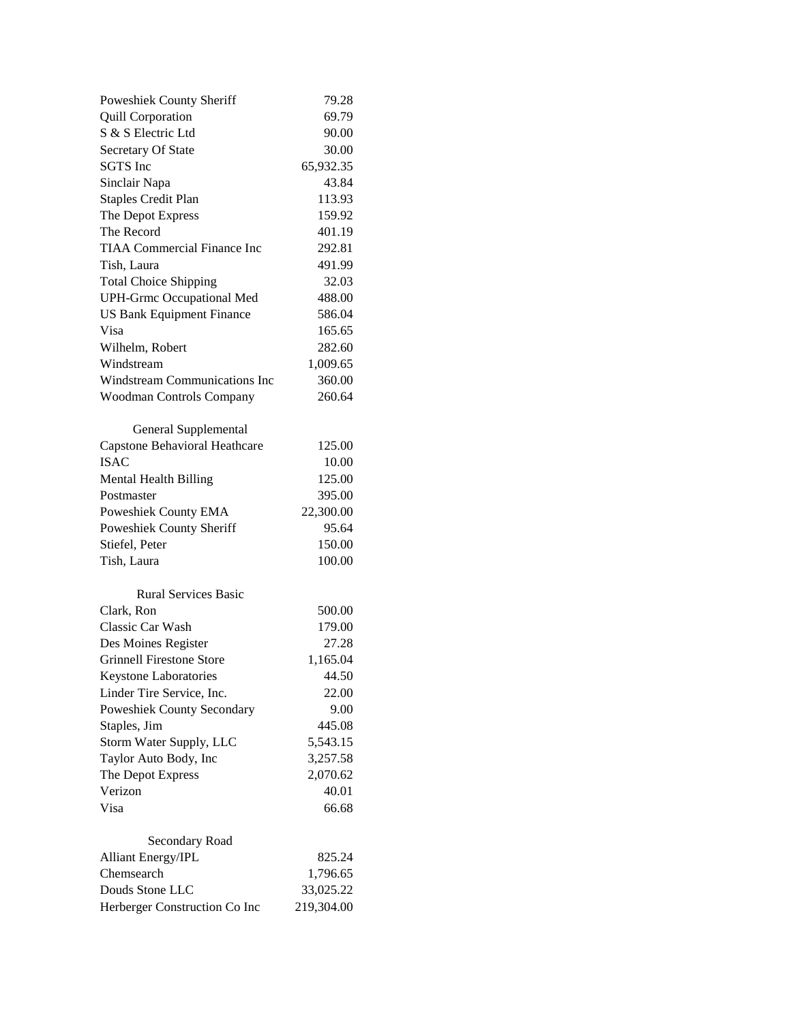| Poweshiek County Sheriff             | 79.28      |
|--------------------------------------|------------|
| <b>Quill Corporation</b>             | 69.79      |
| S & S Electric Ltd                   | 90.00      |
| Secretary Of State                   | 30.00      |
| <b>SGTS</b> Inc                      | 65,932.35  |
| Sinclair Napa                        | 43.84      |
| <b>Staples Credit Plan</b>           | 113.93     |
| The Depot Express                    | 159.92     |
| The Record                           | 401.19     |
| <b>TIAA Commercial Finance Inc</b>   | 292.81     |
| Tish, Laura                          | 491.99     |
| <b>Total Choice Shipping</b>         | 32.03      |
| <b>UPH-Grmc Occupational Med</b>     | 488.00     |
| <b>US Bank Equipment Finance</b>     | 586.04     |
| Visa                                 | 165.65     |
| Wilhelm, Robert                      | 282.60     |
| Windstream                           | 1,009.65   |
| <b>Windstream Communications Inc</b> | 360.00     |
| <b>Woodman Controls Company</b>      | 260.64     |
|                                      |            |
| General Supplemental                 |            |
| <b>Capstone Behavioral Heathcare</b> | 125.00     |
| <b>ISAC</b>                          | 10.00      |
| <b>Mental Health Billing</b>         | 125.00     |
| Postmaster                           | 395.00     |
| Poweshiek County EMA                 | 22,300.00  |
| Poweshiek County Sheriff             | 95.64      |
| Stiefel, Peter                       | 150.00     |
| Tish, Laura                          | 100.00     |
|                                      |            |
| <b>Rural Services Basic</b>          |            |
| Clark, Ron                           | 500.00     |
| <b>Classic Car Wash</b>              | 179.00     |
| Des Moines Register                  | 27.28      |
| <b>Grinnell Firestone Store</b>      | 1,165.04   |
| Keystone Laboratories                | 44.50      |
| Linder Tire Service, Inc.            | 22.00      |
| Poweshiek County Secondary           | 9.00       |
| Staples, Jim                         | 445.08     |
| Storm Water Supply, LLC              | 5,543.15   |
| Taylor Auto Body, Inc                | 3,257.58   |
| The Depot Express                    | 2,070.62   |
| Verizon                              | 40.01      |
| Visa                                 | 66.68      |
|                                      |            |
| Secondary Road                       |            |
| Alliant Energy/IPL                   | 825.24     |
| Chemsearch                           | 1,796.65   |
| Douds Stone LLC                      | 33,025.22  |
| Herberger Construction Co Inc        | 219,304.00 |
|                                      |            |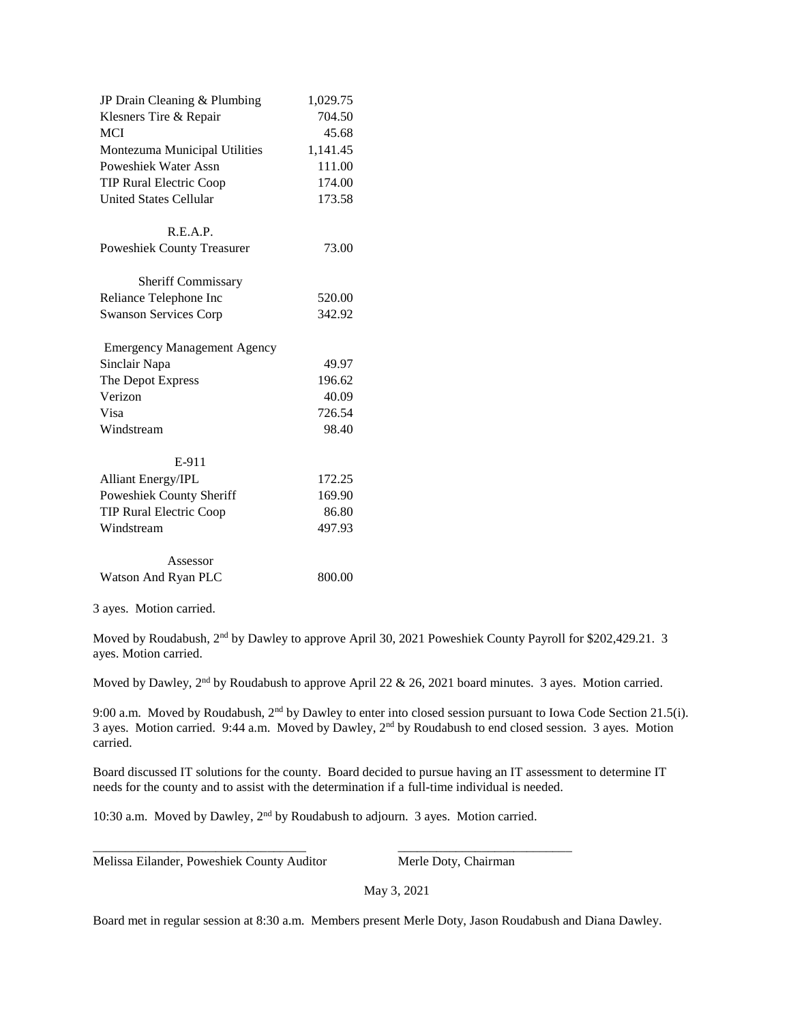| JP Drain Cleaning & Plumbing       | 1,029.75 |
|------------------------------------|----------|
| Klesners Tire & Repair             | 704.50   |
| <b>MCI</b>                         | 45.68    |
| Montezuma Municipal Utilities      | 1,141.45 |
| <b>Poweshiek Water Assn</b>        | 111.00   |
| <b>TIP Rural Electric Coop</b>     | 174.00   |
| <b>United States Cellular</b>      | 173.58   |
| R.E.A.P.                           |          |
| <b>Poweshiek County Treasurer</b>  | 73.00    |
| <b>Sheriff Commissary</b>          |          |
| Reliance Telephone Inc             | 520.00   |
| <b>Swanson Services Corp</b>       | 342.92   |
| <b>Emergency Management Agency</b> |          |
| Sinclair Napa                      | 49.97    |
| The Depot Express                  | 196.62   |
| Verizon                            | 40.09    |
| Visa                               | 726.54   |
| Windstream                         | 98.40    |
| E-911                              |          |
| <b>Alliant Energy/IPL</b>          | 172.25   |
| Poweshiek County Sheriff           | 169.90   |
| <b>TIP Rural Electric Coop</b>     | 86.80    |
| Windstream                         | 497.93   |
| Assessor                           |          |
| Watson And Ryan PLC                | 800.00   |

3 ayes. Motion carried.

Moved by Roudabush, 2nd by Dawley to approve April 30, 2021 Poweshiek County Payroll for \$202,429.21. 3 ayes. Motion carried.

Moved by Dawley, 2<sup>nd</sup> by Roudabush to approve April 22 & 26, 2021 board minutes. 3 ayes. Motion carried.

9:00 a.m. Moved by Roudabush, 2<sup>nd</sup> by Dawley to enter into closed session pursuant to Iowa Code Section 21.5(i). 3 ayes. Motion carried. 9:44 a.m. Moved by Dawley, 2nd by Roudabush to end closed session. 3 ayes. Motion carried.

Board discussed IT solutions for the county. Board decided to pursue having an IT assessment to determine IT needs for the county and to assist with the determination if a full-time individual is needed.

10:30 a.m. Moved by Dawley, 2nd by Roudabush to adjourn. 3 ayes. Motion carried.

\_\_\_\_\_\_\_\_\_\_\_\_\_\_\_\_\_\_\_\_\_\_\_\_\_\_\_\_\_\_\_\_\_ \_\_\_\_\_\_\_\_\_\_\_\_\_\_\_\_\_\_\_\_\_\_\_\_\_\_\_

Melissa Eilander, Poweshiek County Auditor Merle Doty, Chairman

May 3, 2021

Board met in regular session at 8:30 a.m. Members present Merle Doty, Jason Roudabush and Diana Dawley.